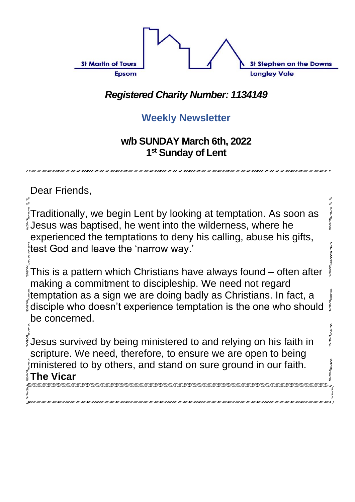

#### *Registered Charity Number: 1134149*

#### **Weekly Newsletter**

#### **w/b SUNDAY March 6th, 2022 1 st Sunday of Lent**

Dear Friends, Traditionally, we begin Lent by looking at temptation. As soon as Jesus was baptised, he went into the wilderness, where he experienced the temptations to deny his calling, abuse his gifts, test God and leave the 'narrow way.' This is a pattern which Christians have always found – often after making a commitment to discipleship. We need not regard temptation as a sign we are doing badly as Christians. In fact, a disciple who doesn't experience temptation is the one who should be concerned. Jesus survived by being ministered to and relying on his faith in scripture. We need, therefore, to ensure we are open to being ministered to by others, and stand on sure ground in our faith. **The Vicar**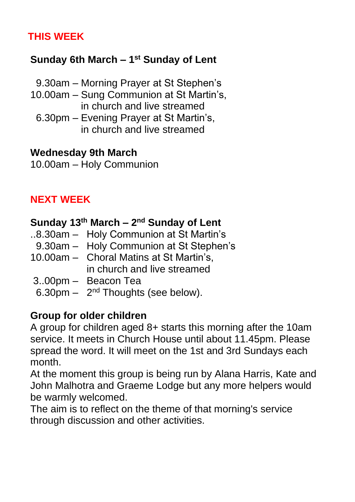#### **THIS WEEK**

#### **Sunday 6th March – 1 st Sunday of Lent**

- 9.30am Morning Prayer at St Stephen's
- 10.00am Sung Communion at St Martin's, in church and live streamed
	- 6.30pm Evening Prayer at St Martin's, in church and live streamed

#### **Wednesday 9th March**

10.00am – Holy Communion

#### **NEXT WEEK**

#### **Sunday 13th March – 2 nd Sunday of Lent**

- ..8.30am Holy Communion at St Martin's
- 9.30am Holy Communion at St Stephen's
- 10.00am Choral Matins at St Martin's, in church and live streamed
- 3..00pm Beacon Tea
- 6.30pm  $-$  2<sup>nd</sup> Thoughts (see below).

#### **Group for older children**

A group for children aged 8+ starts this morning after the 10am service. It meets in Church House until about 11.45pm. Please spread the word. It will meet on the 1st and 3rd Sundays each month.

At the moment this group is being run by Alana Harris, Kate and John Malhotra and Graeme Lodge but any more helpers would be warmly welcomed.

The aim is to reflect on the theme of that morning's service through discussion and other activities.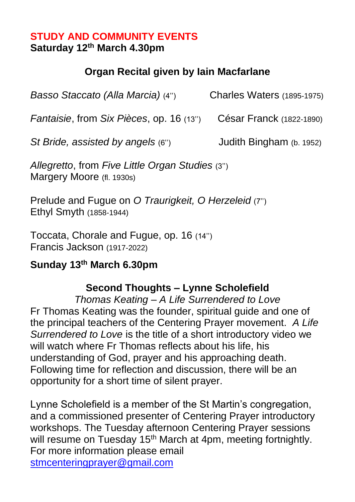#### **STUDY AND COMMUNITY EVENTS Saturday 12th March 4.30pm**

#### **Organ Recital given by Iain Macfarlane**

*Basso Staccato (Alla Marcia)* (4'') Charles Waters (1895-1975) *Fantaisie*, from *Six Pièces*, op. 16 (13'') César Franck (1822-1890) *St Bride, assisted by angels* (6'') Judith Bingham (b. 1952)

*Allegretto*, from *Five Little Organ Studies* (3'') Margery Moore (fl. 1930s)

Prelude and Fugue on *O Traurigkeit, O Herzeleid* (7'') Ethyl Smyth (1858-1944)

Toccata, Chorale and Fugue, op. 16 (14'') Francis Jackson (1917-2022)

#### **Sunday 13th March 6.30pm**

#### **Second Thoughts – Lynne Scholefield**

*Thomas Keating – A Life Surrendered to Love* Fr Thomas Keating was the founder, spiritual guide and one of the principal teachers of the Centering Prayer movement. *A Life Surrendered to Love* is the title of a short introductory video we will watch where Fr Thomas reflects about his life, his understanding of God, prayer and his approaching death. Following time for reflection and discussion, there will be an opportunity for a short time of silent prayer.

Lynne Scholefield is a member of the St Martin's congregation, and a commissioned presenter of Centering Prayer introductory workshops. The Tuesday afternoon Centering Prayer sessions will resume on Tuesday 15<sup>th</sup> March at 4pm, meeting fortnightly. For more information please email [stmcenteringprayer@gmail.com](mailto:stmcenteringprayer@gmail.com)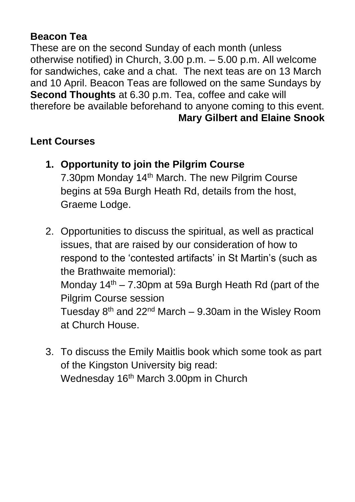#### **Beacon Tea**

These are on the second Sunday of each month (unless otherwise notified) in Church, 3.00 p.m. – 5.00 p.m. All welcome for sandwiches, cake and a chat. The next teas are on 13 March and 10 April. Beacon Teas are followed on the same Sundays by **Second Thoughts** at 6.30 p.m. Tea, coffee and cake will therefore be available beforehand to anyone coming to this event. **Mary Gilbert and Elaine Snook**

#### **Lent Courses**

- **1. Opportunity to join the Pilgrim Course** 7.30pm Monday 14th March. The new Pilgrim Course begins at 59a Burgh Heath Rd, details from the host, Graeme Lodge.
- 2. Opportunities to discuss the spiritual, as well as practical issues, that are raised by our consideration of how to respond to the 'contested artifacts' in St Martin's (such as the Brathwaite memorial): Monday  $14<sup>th</sup> - 7.30$  pm at 59a Burgh Heath Rd (part of the Pilgrim Course session Tuesday  $8<sup>th</sup>$  and 22<sup>nd</sup> March – 9.30am in the Wislev Room at Church House.
- 3. To discuss the Emily Maitlis book which some took as part of the Kingston University big read: Wednesday 16<sup>th</sup> March 3.00pm in Church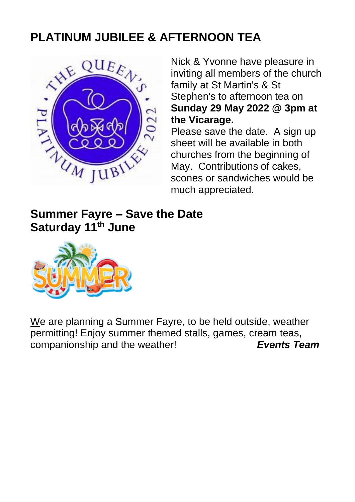#### **PLATINUM JUBILEE & AFTERNOON TEA**



Nick & Yvonne have pleasure in inviting all members of the church family at St Martin's & St Stephen's to afternoon tea on **Sunday 29 May 2022 @ 3pm at the Vicarage.**

Please save the date. A sign up sheet will be available in both churches from the beginning of May. Contributions of cakes, scones or sandwiches would be much appreciated.

**Summer Fayre – Save the Date Saturday 11th June**



We are planning a Summer Fayre, to be held outside, weather permitting! Enjoy summer themed stalls, games, cream teas, companionship and the weather! *Events Team*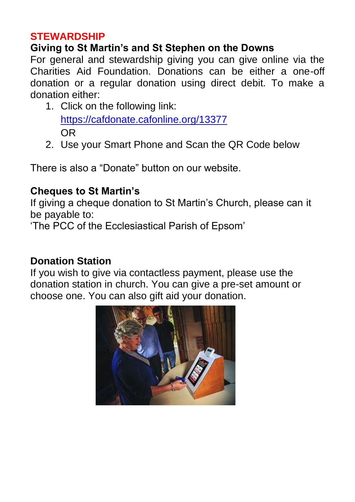#### **STEWARDSHIP**

#### **Giving to St Martin's and St Stephen on the Downs**

For general and stewardship giving you can give online via the Charities Aid Foundation. Donations can be either a one-off donation or a regular donation using direct debit. To make a donation either:

- 1. Click on the following link: <https://cafdonate.cafonline.org/13377> OR
- 2. Use your Smart Phone and Scan the QR Code below

There is also a "Donate" button on our website.

#### **Cheques to St Martin's**

If giving a cheque donation to St Martin's Church, please can it be payable to:

'The PCC of the Ecclesiastical Parish of Epsom'

#### **Donation Station**

If you wish to give via contactless payment, please use the donation station in church. You can give a pre-set amount or choose one. You can also gift aid your donation.

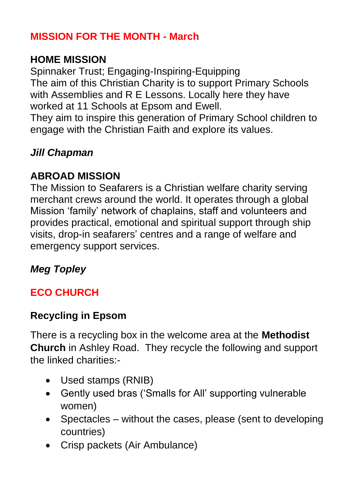#### **MISSION FOR THE MONTH - March**

#### **HOME MISSION**

Spinnaker Trust; Engaging-Inspiring-Equipping The aim of this Christian Charity is to support Primary Schools with Assemblies and R E Lessons. Locally here they have worked at 11 Schools at Epsom and Ewell.

They aim to inspire this generation of Primary School children to engage with the Christian Faith and explore its values.

#### *Jill Chapman*

#### **ABROAD MISSION**

The Mission to Seafarers is a Christian welfare charity serving merchant crews around the world. It operates through a global Mission 'family' network of chaplains, staff and volunteers and provides practical, emotional and spiritual support through ship visits, drop-in seafarers' centres and a range of welfare and emergency support services.

#### *Meg Topley*

#### **ECO CHURCH**

#### **Recycling in Epsom**

There is a recycling box in the welcome area at the **Methodist Church** in Ashley Road. They recycle the following and support the linked charities:-

- Used stamps (RNIB)
- Gently used bras ('Smalls for All' supporting vulnerable women)
- Spectacles without the cases, please (sent to developing countries)
- Crisp packets (Air Ambulance)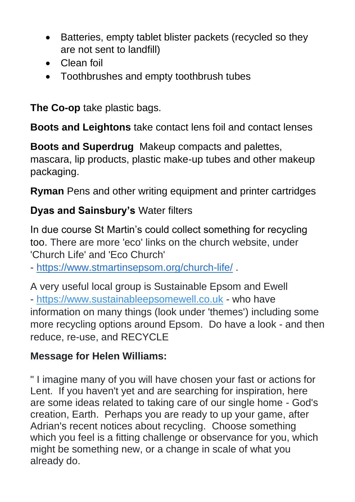- Batteries, empty tablet blister packets (recycled so they are not sent to landfill)
- Clean foil
- Toothbrushes and empty toothbrush tubes

**The Co-op** take plastic bags.

**Boots and Leightons** take contact lens foil and contact lenses

**Boots and Superdrug** Makeup compacts and palettes, mascara, lip products, plastic make-up tubes and other makeup packaging.

**Ryman** Pens and other writing equipment and printer cartridges

#### **Dyas and Sainsbury's** Water filters

In due course St Martin's could collect something for recycling too. There are more 'eco' links on the church website, under 'Church Life' and 'Eco Church'

- <https://www.stmartinsepsom.org/church-life/> .

A very useful local group is Sustainable Epsom and Ewell - [https://www.sustainableepsomewell.co.uk](https://www.sustainableepsomewell.co.uk/) - who have information on many things (look under 'themes') including some more recycling options around Epsom. Do have a look - and then reduce, re-use, and RECYCLE

#### **Message for Helen Williams:**

" I imagine many of you will have chosen your fast or actions for Lent. If you haven't yet and are searching for inspiration, here are some ideas related to taking care of our single home - God's creation, Earth. Perhaps you are ready to up your game, after Adrian's recent notices about recycling. Choose something which you feel is a fitting challenge or observance for you, which might be something new, or a change in scale of what you already do.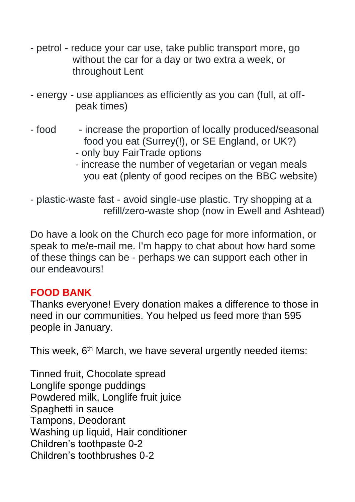- petrol reduce your car use, take public transport more, go without the car for a day or two extra a week, or throughout Lent
- energy use appliances as efficiently as you can (full, at off peak times)
- food increase the proportion of locally produced/seasonal food you eat (Surrey(!), or SE England, or UK?)
	- only buy FairTrade options
	- increase the number of vegetarian or vegan meals you eat (plenty of good recipes on the BBC website)

- plastic-waste fast - avoid single-use plastic. Try shopping at a refill/zero-waste shop (now in Ewell and Ashtead)

Do have a look on the Church eco page for more information, or speak to me/e-mail me. I'm happy to chat about how hard some of these things can be - perhaps we can support each other in our endeavours!

#### **FOOD BANK**

Thanks everyone! Every donation makes a difference to those in need in our communities. You helped us feed more than 595 people in January.

This week, 6<sup>th</sup> March, we have several urgently needed items:

Tinned fruit, Chocolate spread Longlife sponge puddings Powdered milk, Longlife fruit juice Spaghetti in sauce Tampons, Deodorant Washing up liquid, Hair conditioner Children's toothpaste 0-2 Children's toothbrushes 0-2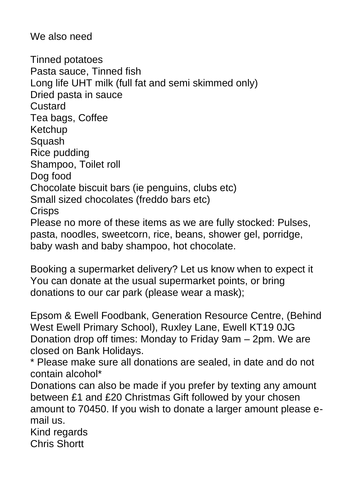We also need

Tinned potatoes Pasta sauce, Tinned fish Long life UHT milk (full fat and semi skimmed only) Dried pasta in sauce **Custard** Tea bags, Coffee Ketchup Squash Rice pudding Shampoo, Toilet roll Dog food Chocolate biscuit bars (ie penguins, clubs etc) Small sized chocolates (freddo bars etc) **Crisps** Please no more of these items as we are fully stocked: Pulses, pasta, noodles, sweetcorn, rice, beans, shower gel, porridge, baby wash and baby shampoo, hot chocolate.

Booking a supermarket delivery? Let us know when to expect it You can donate at the usual supermarket points, or bring donations to our car park (please wear a mask);

Epsom & Ewell Foodbank, Generation Resource Centre, (Behind West Ewell Primary School), Ruxley Lane, Ewell KT19 0JG Donation drop off times: Monday to Friday 9am – 2pm. We are closed on Bank Holidays.

\* Please make sure all donations are sealed, in date and do not contain alcohol\*

Donations can also be made if you prefer by texting any amount between £1 and £20 Christmas Gift followed by your chosen amount to 70450. If you wish to donate a larger amount please email us.

Kind regards Chris Shortt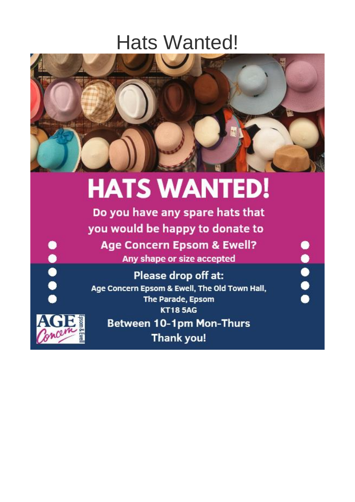### **Hats Wanted!**



## **HATS WANTED!**

Do you have any spare hats that you would be happy to donate to **Age Concern Epsom & Ewell?** Any shape or size accepted

Please drop off at: Age Concern Epsom & Ewell, The Old Town Hall, The Parade, Epsom **KT185AG** 

**....** 



**POPO** 

**Between 10-1pm Mon-Thurs Thank you!**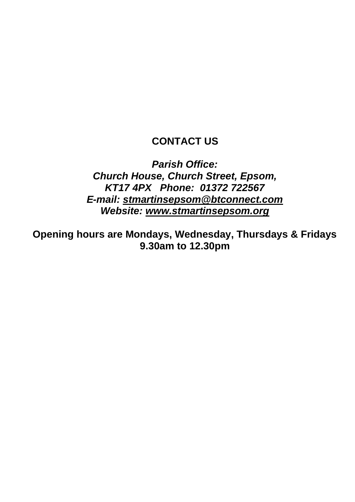#### **CONTACT US**

*Parish Office: Church House, Church Street, Epsom, KT17 4PX Phone: 01372 722567 E-mail: [stmartinsepsom@btconnect.com](mailto:stmartinsepsom@btconnect.com) Website: [www.stmartinsepsom.org](http://www.stmartinsepsom.org/)*

**Opening hours are Mondays, Wednesday, Thursdays & Fridays 9.30am to 12.30pm**